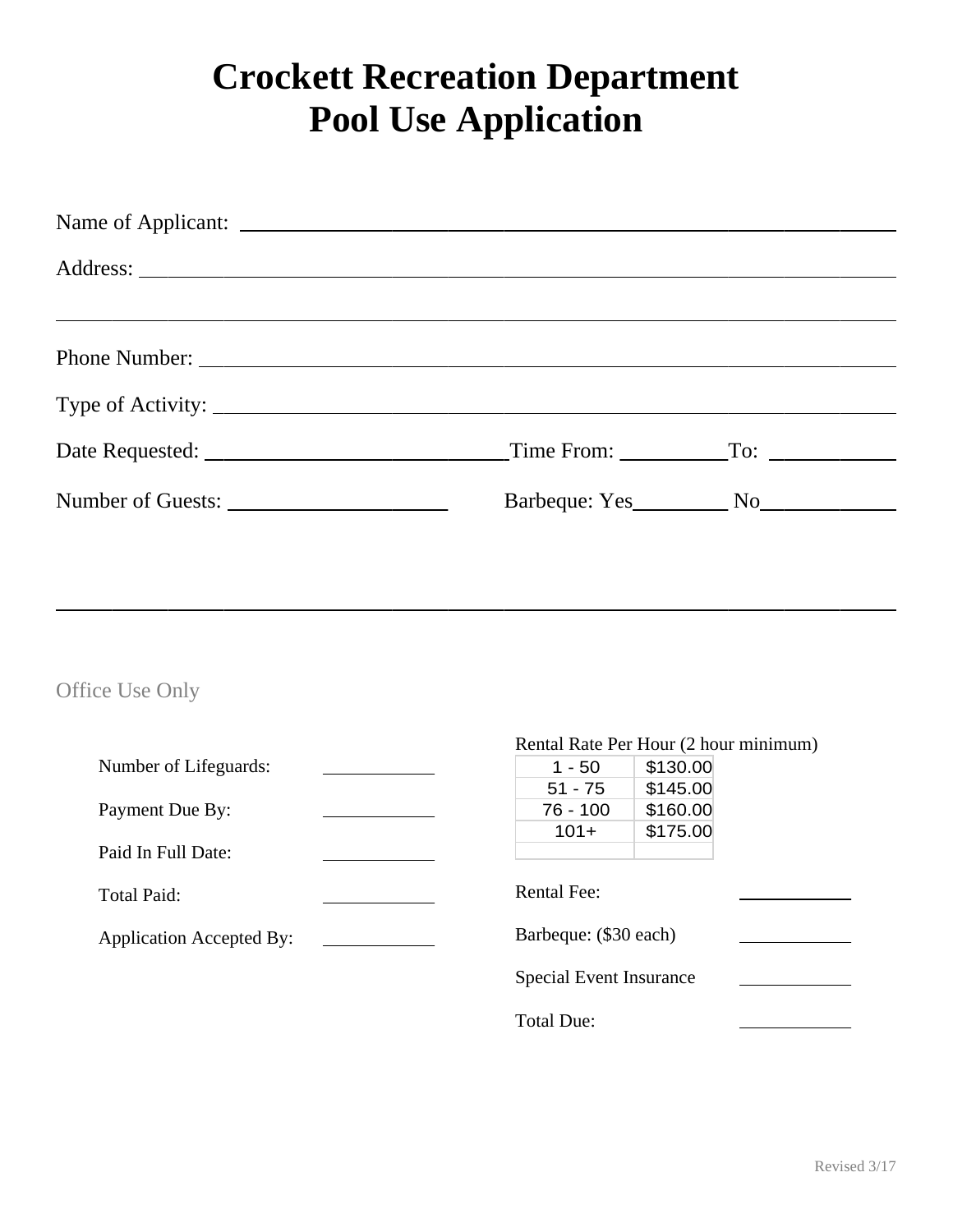## **Crockett Recreation Department Pool Use Application**

| $T$ ime From: $T$ o: $T$ |  |
|--------------------------|--|
|                          |  |
|                          |  |

### Office Use Only

|                                 | Rental Rate Per Hour (2 hour minimum) |          |  |
|---------------------------------|---------------------------------------|----------|--|
| Number of Lifeguards:           | $1 - 50$                              | \$130.00 |  |
|                                 | $51 - 75$                             | \$145.00 |  |
| Payment Due By:                 | 76 - 100                              | \$160.00 |  |
|                                 | $101+$                                | \$175.00 |  |
| Paid In Full Date:              |                                       |          |  |
|                                 | <b>Rental Fee:</b>                    |          |  |
| Total Paid:                     |                                       |          |  |
| <b>Application Accepted By:</b> | Barbeque: (\$30 each)                 |          |  |
|                                 |                                       |          |  |
|                                 | <b>Special Event Insurance</b>        |          |  |
|                                 |                                       |          |  |
|                                 | <b>Total Due:</b>                     |          |  |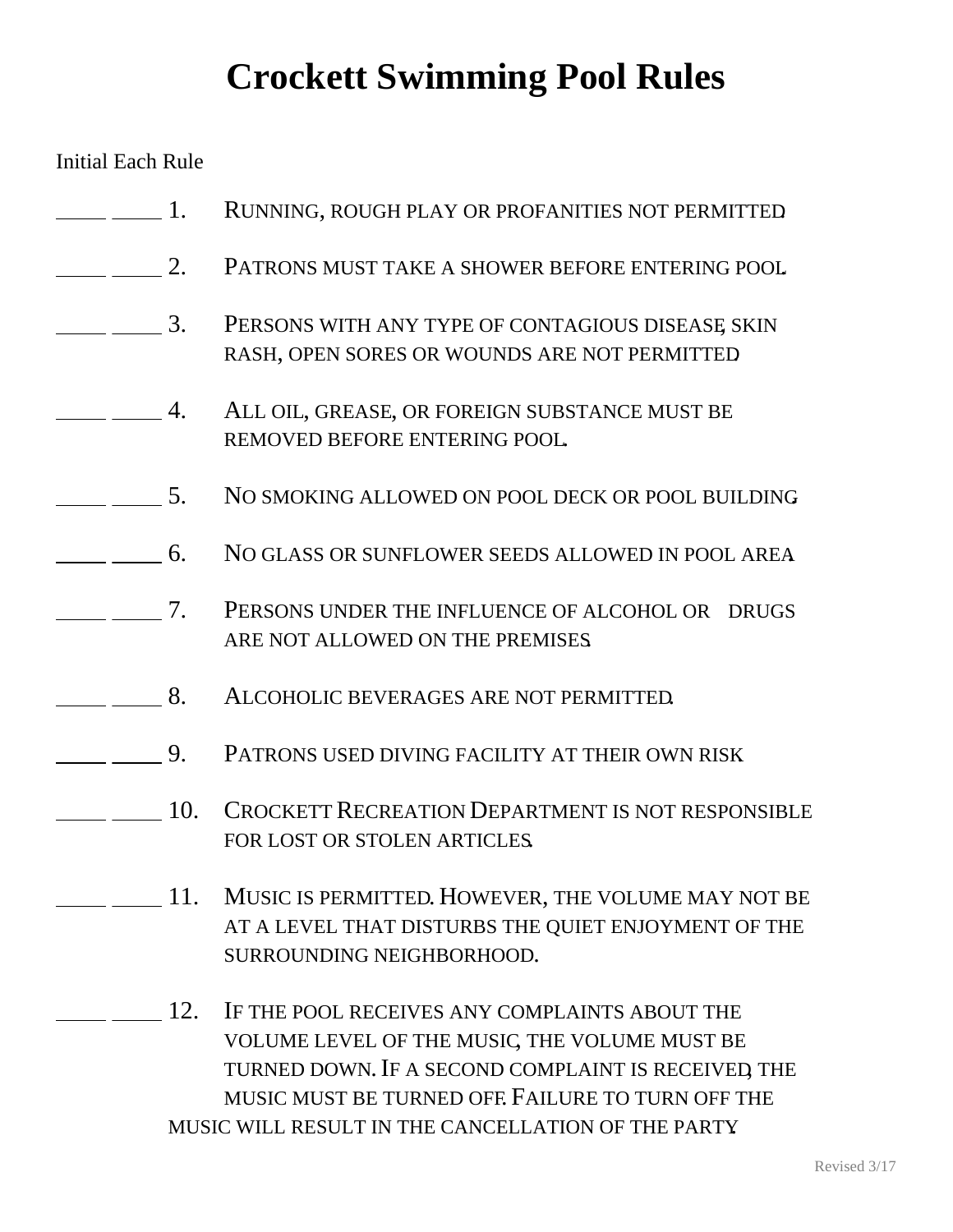# **Crockett Swimming Pool Rules**

Initial Each Rule

| $\overline{1}$ .                                                                                                                                                                                                                                                                                                    |     | RUNNING, ROUGH PLAY OR PROFANITIES NOT PERMITTED                                                                                                                                                                                                                 |
|---------------------------------------------------------------------------------------------------------------------------------------------------------------------------------------------------------------------------------------------------------------------------------------------------------------------|-----|------------------------------------------------------------------------------------------------------------------------------------------------------------------------------------------------------------------------------------------------------------------|
| $\overline{2}$ .                                                                                                                                                                                                                                                                                                    |     | PATRONS MUST TAKE A SHOWER BEFORE ENTERING POOL                                                                                                                                                                                                                  |
| $\overline{3}$ .                                                                                                                                                                                                                                                                                                    |     | PERSONS WITH ANY TYPE OF CONTAGIOUS DISEASE SKIN<br>RASH, OPEN SORES OR WOUNDS ARE NOT PERMITTED                                                                                                                                                                 |
|                                                                                                                                                                                                                                                                                                                     | 4.  | ALL OIL, GREASE, OR FOREIGN SUBSTANCE MUST BE<br>REMOVED BEFORE ENTERING POOL                                                                                                                                                                                    |
|                                                                                                                                                                                                                                                                                                                     | 5.  | NO SMOKING ALLOWED ON POOL DECK OR POOL BUILDING                                                                                                                                                                                                                 |
| $\overline{6}$ .                                                                                                                                                                                                                                                                                                    |     | NO GLASS OR SUNFLOWER SEEDS ALLOWED IN POOL AREA                                                                                                                                                                                                                 |
| $\frac{1}{2}$ $\frac{1}{2}$ $\frac{1}{2}$ $\frac{1}{2}$ $\frac{1}{2}$ $\frac{1}{2}$ $\frac{1}{2}$ $\frac{1}{2}$ $\frac{1}{2}$ $\frac{1}{2}$ $\frac{1}{2}$ $\frac{1}{2}$ $\frac{1}{2}$ $\frac{1}{2}$ $\frac{1}{2}$ $\frac{1}{2}$ $\frac{1}{2}$ $\frac{1}{2}$ $\frac{1}{2}$ $\frac{1}{2}$ $\frac{1}{2}$ $\frac{1}{2}$ |     | PERSONS UNDER THE INFLUENCE OF ALCOHOL OR DRUGS<br>ARE NOT ALLOWED ON THE PREMISES                                                                                                                                                                               |
| 8.                                                                                                                                                                                                                                                                                                                  |     | ALCOHOLIC BEVERAGES ARE NOT PERMITTED.                                                                                                                                                                                                                           |
|                                                                                                                                                                                                                                                                                                                     | 9.  | PATRONS USED DIVING FACILITY AT THEIR OWN RISK                                                                                                                                                                                                                   |
|                                                                                                                                                                                                                                                                                                                     | 10. | <b>CROCKETT RECREATION DEPARTMENT IS NOT RESPONSIBLE</b><br>FOR LOST OR STOLEN ARTICLES.                                                                                                                                                                         |
|                                                                                                                                                                                                                                                                                                                     |     | 11. MUSIC IS PERMITTED. HOWEVER, THE VOLUME MAY NOT BE<br>AT A LEVEL THAT DISTURBS THE QUIET ENJOYMENT OF THE<br>SURROUNDING NEIGHBORHOOD.                                                                                                                       |
|                                                                                                                                                                                                                                                                                                                     | 12. | IF THE POOL RECEIVES ANY COMPLAINTS ABOUT THE<br>VOLUME LEVEL OF THE MUSIC, THE VOLUME MUST BE<br>TURNED DOWN. IF A SECOND COMPLAINT IS RECEIVED, THE<br>MUSIC MUST BE TURNED OFF. FAILURE TO TURN OFF THE<br>MUSIC WILL RESULT IN THE CANCELLATION OF THE PARTY |